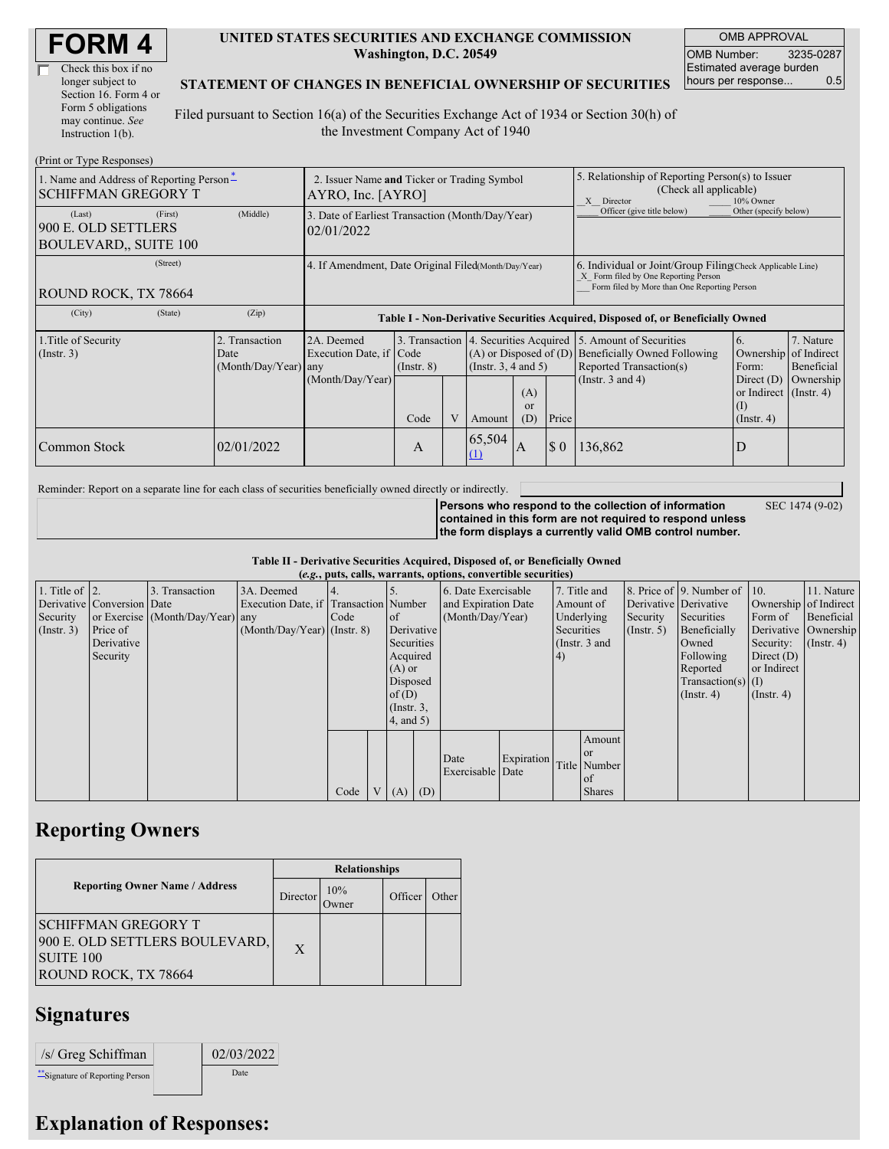| <b>FORM4</b> |
|--------------|
|--------------|

| Check this box if no  |
|-----------------------|
| longer subject to     |
| Section 16. Form 4 or |
| Form 5 obligations    |
| may continue. See     |
| Instruction 1(b).     |

#### **UNITED STATES SECURITIES AND EXCHANGE COMMISSION Washington, D.C. 20549**

OMB APPROVAL OMB Number: 3235-0287 Estimated average burden hours per response... 0.5

#### **STATEMENT OF CHANGES IN BENEFICIAL OWNERSHIP OF SECURITIES**

Filed pursuant to Section 16(a) of the Securities Exchange Act of 1934 or Section 30(h) of the Investment Company Act of 1940

| (Print or Type Responses)                                                                |                                                  |                                                                                  |                 |                |                                                                                                          |              |                                                                                                                                                    |                                                                                                              |                                                                                                                 |                                      |
|------------------------------------------------------------------------------------------|--------------------------------------------------|----------------------------------------------------------------------------------|-----------------|----------------|----------------------------------------------------------------------------------------------------------|--------------|----------------------------------------------------------------------------------------------------------------------------------------------------|--------------------------------------------------------------------------------------------------------------|-----------------------------------------------------------------------------------------------------------------|--------------------------------------|
| 1. Name and Address of Reporting Person-<br><b>SCHIFFMAN GREGORY T</b>                   |                                                  | 2. Issuer Name and Ticker or Trading Symbol<br>AYRO, Inc. [AYRO]                 |                 |                |                                                                                                          |              | 5. Relationship of Reporting Person(s) to Issuer<br>(Check all applicable)<br>X Director<br>10% Owner                                              |                                                                                                              |                                                                                                                 |                                      |
| (First)<br>(Last)<br>900 E. OLD SETTLERS<br><b>BOULEVARD., SUITE 100</b>                 | (Middle)                                         | 3. Date of Earliest Transaction (Month/Day/Year)<br>02/01/2022                   |                 |                |                                                                                                          |              |                                                                                                                                                    | Officer (give title below)                                                                                   | Other (specify below)                                                                                           |                                      |
| (Street)<br>4. If Amendment, Date Original Filed(Month/Day/Year)<br>ROUND ROCK, TX 78664 |                                                  |                                                                                  |                 |                |                                                                                                          |              | 6. Individual or Joint/Group Filing Check Applicable Line)<br>X Form filed by One Reporting Person<br>Form filed by More than One Reporting Person |                                                                                                              |                                                                                                                 |                                      |
| (City)<br>(State)                                                                        | (Zip)                                            | Table I - Non-Derivative Securities Acquired, Disposed of, or Beneficially Owned |                 |                |                                                                                                          |              |                                                                                                                                                    |                                                                                                              |                                                                                                                 |                                      |
| 1. Title of Security<br>$($ Instr. 3 $)$                                                 | 2. Transaction<br>Date<br>$(Month/Day/Year)$ any | 2A. Deemed<br>Execution Date, if Code<br>(Month/Day/Year)                        | $($ Instr. $8)$ |                | 3. Transaction 4. Securities Acquired<br>$(A)$ or Disposed of $(D)$<br>(Insert. 3, 4 and 5)<br>(A)<br>or |              |                                                                                                                                                    | 15. Amount of Securities<br>Beneficially Owned Following<br>Reported Transaction(s)<br>(Instr. $3$ and $4$ ) | <sup>6.</sup><br>Ownership of Indirect<br>Form:<br>Direct $(D)$<br>or Indirect $($ Instr. 4 $)$<br>$($ $\Gamma$ | 7. Nature<br>Beneficial<br>Ownership |
|                                                                                          |                                                  |                                                                                  | Code            | $\overline{V}$ | Amount                                                                                                   | (D)          | Price                                                                                                                                              |                                                                                                              | $($ Instr. 4 $)$                                                                                                |                                      |
| Common Stock                                                                             | 02/01/2022                                       |                                                                                  | A               |                | 65,504<br>(1)                                                                                            | $\mathbf{A}$ | $\Omega$                                                                                                                                           | 136,862                                                                                                      |                                                                                                                 |                                      |

Reminder: Report on a separate line for each class of securities beneficially owned directly or indirectly.

**Persons who respond to the collection of information contained in this form are not required to respond unless the form displays a currently valid OMB control number.**

SEC 1474 (9-02)

**Table II - Derivative Securities Acquired, Disposed of, or Beneficially Owned**

|                        | (e.g., puts, calls, warrants, options, convertible securities) |                                  |                                       |      |  |                 |                  |                     |                   |           |               |              |                              |                       |            |
|------------------------|----------------------------------------------------------------|----------------------------------|---------------------------------------|------|--|-----------------|------------------|---------------------|-------------------|-----------|---------------|--------------|------------------------------|-----------------------|------------|
| 1. Title of $\vert$ 2. |                                                                | 3. Transaction                   | 3A. Deemed                            |      |  |                 |                  | 6. Date Exercisable |                   |           | 7. Title and  |              | 8. Price of 9. Number of 10. |                       | 11. Nature |
|                        | Derivative Conversion Date                                     |                                  | Execution Date, if Transaction Number |      |  |                 |                  | and Expiration Date |                   | Amount of |               |              | Derivative Derivative        | Ownership of Indirect |            |
| Security               |                                                                | or Exercise (Month/Day/Year) any |                                       | Code |  | <sub>of</sub>   | (Month/Day/Year) |                     | Underlying        |           | Security      | Securities   | Form of                      | Beneficial            |            |
| (Insert. 3)            | Price of                                                       |                                  | $(Month/Day/Year)$ (Instr. 8)         |      |  |                 | Derivative       |                     | Securities        |           | (Insert, 5)   | Beneficially | Derivative Ownership         |                       |            |
|                        | Derivative                                                     |                                  |                                       |      |  |                 | Securities       |                     | (Instr. 3 and     |           |               | Owned        | Security:                    | $($ Instr. 4)         |            |
|                        | Security                                                       |                                  |                                       |      |  | Acquired        |                  |                     |                   | (4)       |               |              | Following                    | Direct $(D)$          |            |
|                        |                                                                |                                  |                                       |      |  | $(A)$ or        |                  |                     |                   |           |               |              | Reported                     | or Indirect           |            |
|                        |                                                                |                                  |                                       |      |  | Disposed        |                  |                     |                   |           |               |              | $Transaction(s)$ (I)         |                       |            |
|                        |                                                                |                                  |                                       |      |  | of $(D)$        |                  |                     |                   |           |               |              | $($ Instr. 4 $)$             | $($ Instr. 4 $)$      |            |
|                        |                                                                |                                  |                                       |      |  | $($ Instr. $3,$ |                  |                     |                   |           |               |              |                              |                       |            |
|                        |                                                                |                                  |                                       |      |  | 4, and 5)       |                  |                     |                   |           |               |              |                              |                       |            |
|                        |                                                                |                                  |                                       |      |  |                 |                  |                     |                   |           | Amount        |              |                              |                       |            |
|                        |                                                                |                                  |                                       |      |  |                 |                  | Date                | <b>Expiration</b> |           | <b>or</b>     |              |                              |                       |            |
|                        |                                                                |                                  |                                       |      |  |                 |                  | Exercisable Date    |                   |           | Title Number  |              |                              |                       |            |
|                        |                                                                |                                  |                                       |      |  |                 |                  |                     |                   |           | of            |              |                              |                       |            |
|                        |                                                                |                                  |                                       | Code |  | (A)             | (D)              |                     |                   |           | <b>Shares</b> |              |                              |                       |            |

### **Reporting Owners**

|                                                                                                          | <b>Relationships</b> |                 |         |       |  |  |  |  |
|----------------------------------------------------------------------------------------------------------|----------------------|-----------------|---------|-------|--|--|--|--|
| <b>Reporting Owner Name / Address</b>                                                                    | Director             | 10%<br><b>T</b> | Officer | Other |  |  |  |  |
| <b>SCHIFFMAN GREGORY T</b><br>900 E. OLD SETTLERS BOULEVARD,<br><b>SUITE 100</b><br>ROUND ROCK, TX 78664 | X                    |                 |         |       |  |  |  |  |

## **Signatures**

| /s/ Greg Schiffman               | 02/03/2022 |
|----------------------------------|------------|
| ** Signature of Reporting Person | Date       |

# **Explanation of Responses:**